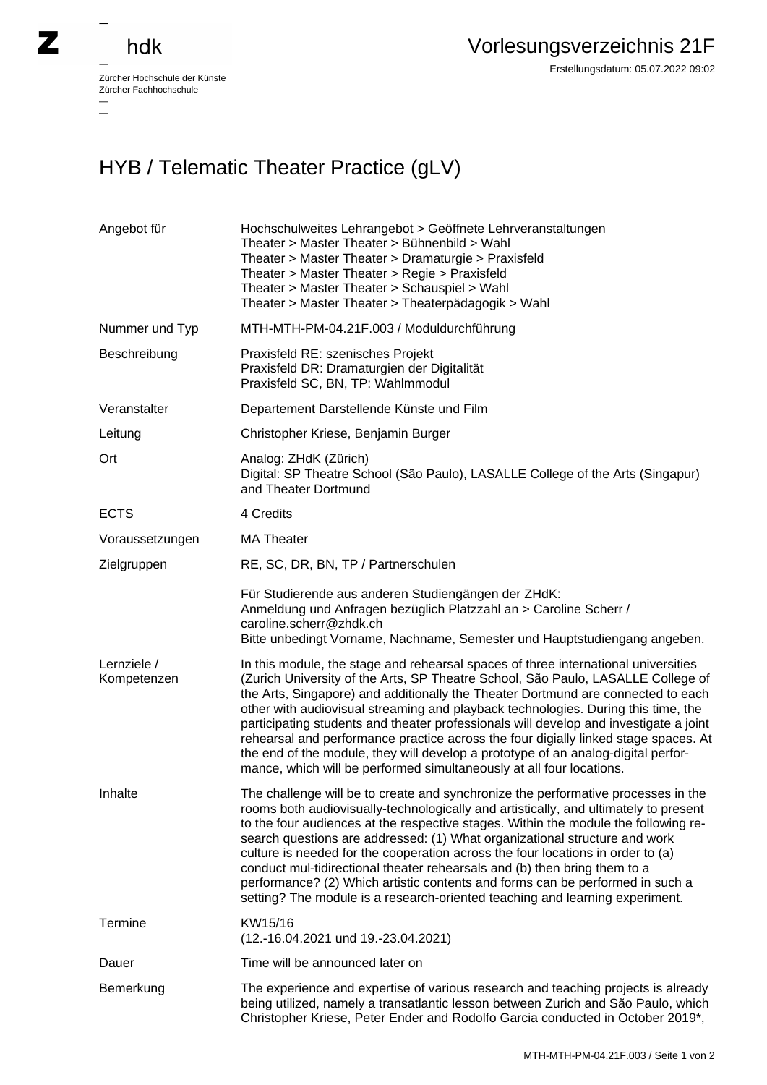## hdk

 $\overline{\phantom{0}}$ 

Zürcher Hochschule der Künste Zürcher Fachhochschule —

Erstellungsdatum: 05.07.2022 09:02

## HYB / Telematic Theater Practice (gLV)

| Angebot für                | Hochschulweites Lehrangebot > Geöffnete Lehrveranstaltungen<br>Theater > Master Theater > Bühnenbild > Wahl<br>Theater > Master Theater > Dramaturgie > Praxisfeld<br>Theater > Master Theater > Regie > Praxisfeld<br>Theater > Master Theater > Schauspiel > Wahl<br>Theater > Master Theater > Theaterpädagogik > Wahl                                                                                                                                                                                                                                                                                                                                                                    |
|----------------------------|----------------------------------------------------------------------------------------------------------------------------------------------------------------------------------------------------------------------------------------------------------------------------------------------------------------------------------------------------------------------------------------------------------------------------------------------------------------------------------------------------------------------------------------------------------------------------------------------------------------------------------------------------------------------------------------------|
| Nummer und Typ             | MTH-MTH-PM-04.21F.003 / Moduldurchführung                                                                                                                                                                                                                                                                                                                                                                                                                                                                                                                                                                                                                                                    |
| Beschreibung               | Praxisfeld RE: szenisches Projekt<br>Praxisfeld DR: Dramaturgien der Digitalität<br>Praxisfeld SC, BN, TP: Wahlmmodul                                                                                                                                                                                                                                                                                                                                                                                                                                                                                                                                                                        |
| Veranstalter               | Departement Darstellende Künste und Film                                                                                                                                                                                                                                                                                                                                                                                                                                                                                                                                                                                                                                                     |
| Leitung                    | Christopher Kriese, Benjamin Burger                                                                                                                                                                                                                                                                                                                                                                                                                                                                                                                                                                                                                                                          |
| Ort                        | Analog: ZHdK (Zürich)<br>Digital: SP Theatre School (São Paulo), LASALLE College of the Arts (Singapur)<br>and Theater Dortmund                                                                                                                                                                                                                                                                                                                                                                                                                                                                                                                                                              |
| <b>ECTS</b>                | 4 Credits                                                                                                                                                                                                                                                                                                                                                                                                                                                                                                                                                                                                                                                                                    |
| Voraussetzungen            | <b>MA Theater</b>                                                                                                                                                                                                                                                                                                                                                                                                                                                                                                                                                                                                                                                                            |
| Zielgruppen                | RE, SC, DR, BN, TP / Partnerschulen                                                                                                                                                                                                                                                                                                                                                                                                                                                                                                                                                                                                                                                          |
|                            | Für Studierende aus anderen Studiengängen der ZHdK:<br>Anmeldung und Anfragen bezüglich Platzzahl an > Caroline Scherr /<br>caroline.scherr@zhdk.ch<br>Bitte unbedingt Vorname, Nachname, Semester und Hauptstudiengang angeben.                                                                                                                                                                                                                                                                                                                                                                                                                                                             |
| Lernziele /<br>Kompetenzen | In this module, the stage and rehearsal spaces of three international universities<br>(Zurich University of the Arts, SP Theatre School, São Paulo, LASALLE College of<br>the Arts, Singapore) and additionally the Theater Dortmund are connected to each<br>other with audiovisual streaming and playback technologies. During this time, the<br>participating students and theater professionals will develop and investigate a joint<br>rehearsal and performance practice across the four digially linked stage spaces. At<br>the end of the module, they will develop a prototype of an analog-digital perfor-<br>mance, which will be performed simultaneously at all four locations. |
| Inhalte                    | The challenge will be to create and synchronize the performative processes in the<br>rooms both audiovisually-technologically and artistically, and ultimately to present<br>to the four audiences at the respective stages. Within the module the following re-<br>search questions are addressed: (1) What organizational structure and work<br>culture is needed for the cooperation across the four locations in order to (a)<br>conduct mul-tidirectional theater rehearsals and (b) then bring them to a<br>performance? (2) Which artistic contents and forms can be performed in such a<br>setting? The module is a research-oriented teaching and learning experiment.              |
| Termine                    | KW15/16<br>(12.-16.04.2021 und 19.-23.04.2021)                                                                                                                                                                                                                                                                                                                                                                                                                                                                                                                                                                                                                                               |
| Dauer                      | Time will be announced later on                                                                                                                                                                                                                                                                                                                                                                                                                                                                                                                                                                                                                                                              |
| Bemerkung                  | The experience and expertise of various research and teaching projects is already<br>being utilized, namely a transatlantic lesson between Zurich and São Paulo, which<br>Christopher Kriese, Peter Ender and Rodolfo Garcia conducted in October 2019*,                                                                                                                                                                                                                                                                                                                                                                                                                                     |